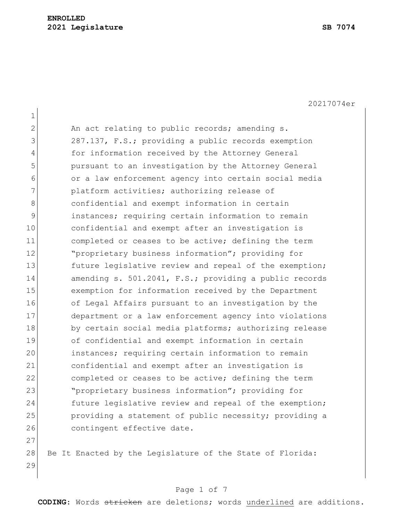20217074er

1 2 An act relating to public records; amending s. 3 287.137, F.S.; providing a public records exemption 4 for information received by the Attorney General 5 pursuant to an investigation by the Attorney General 6 or a law enforcement agency into certain social media 7 **platform activities; authorizing release of** 8 8 6 8 confidential and exempt information in certain 9 instances; requiring certain information to remain 10 confidential and exempt after an investigation is 11 11 completed or ceases to be active; defining the term 12 **"**proprietary business information"; providing for 13 future legislative review and repeal of the exemption; 14 amending s. 501.2041, F.S.; providing a public records 15 exemption for information received by the Department 16 of Legal Affairs pursuant to an investigation by the 17 department or a law enforcement agency into violations 18 by certain social media platforms; authorizing release 19 of confidential and exempt information in certain 20 instances; requiring certain information to remain 21 confidential and exempt after an investigation is 22 completed or ceases to be active; defining the term 23 "proprietary business information"; providing for 24 future legislative review and repeal of the exemption; 25 providing a statement of public necessity; providing a 26 contingent effective date. 27

28 Be It Enacted by the Legislature of the State of Florida: 29

#### Page 1 of 7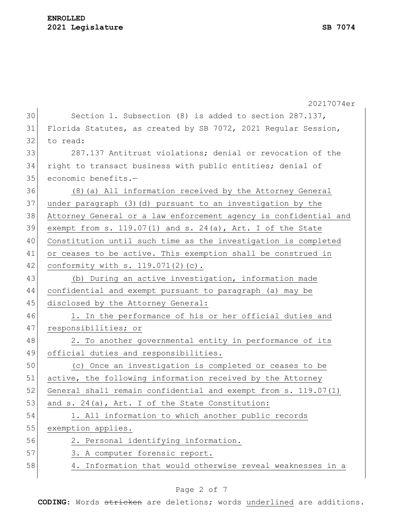#### **ENROLLED 2021 Legislature SB 7074**

|    | 20217074er                                                       |
|----|------------------------------------------------------------------|
| 30 | Section 1. Subsection (8) is added to section 287.137,           |
| 31 | Florida Statutes, as created by SB 7072, 2021 Regular Session,   |
| 32 | to read:                                                         |
| 33 | 287.137 Antitrust violations; denial or revocation of the        |
| 34 | right to transact business with public entities; denial of       |
| 35 | economic benefits.-                                              |
| 36 | (8) (a) All information received by the Attorney General         |
| 37 | under paragraph (3) (d) pursuant to an investigation by the      |
| 38 | Attorney General or a law enforcement agency is confidential and |
| 39 | exempt from s. $119.07(1)$ and s. $24(a)$ , Art. I of the State  |
| 40 | Constitution until such time as the investigation is completed   |
| 41 | or ceases to be active. This exemption shall be construed in     |
| 42 | conformity with $s. 119.071(2)$ (c).                             |
| 43 | (b) During an active investigation, information made             |
| 44 | confidential and exempt pursuant to paragraph (a) may be         |
| 45 | disclosed by the Attorney General:                               |
| 46 | 1. In the performance of his or her official duties and          |
| 47 | responsibilities; or                                             |
| 48 | 2. To another governmental entity in performance of its          |
| 49 | official duties and responsibilities.                            |
| 50 | (c) Once an investigation is completed or ceases to be           |
| 51 | active, the following information received by the Attorney       |
| 52 | General shall remain confidential and exempt from s. 119.07(1)   |
| 53 | and s. 24(a), Art. I of the State Constitution:                  |
| 54 | 1. All information to which another public records               |
| 55 | exemption applies.                                               |
| 56 | 2. Personal identifying information.                             |
| 57 | 3. A computer forensic report.                                   |
| 58 | 4. Information that would otherwise reveal weaknesses in a       |

# Page 2 of 7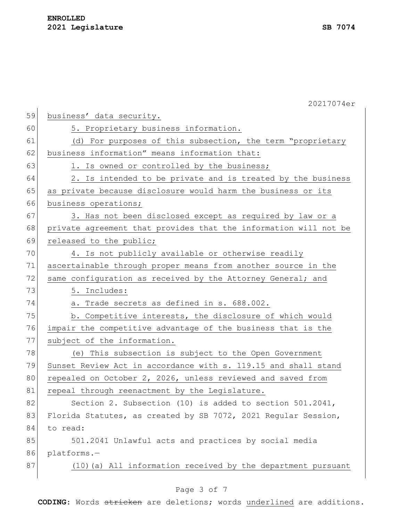|    | 20217074er                                                       |
|----|------------------------------------------------------------------|
| 59 | business' data security.                                         |
| 60 | 5. Proprietary business information.                             |
| 61 | (d) For purposes of this subsection, the term "proprietary       |
| 62 | business information" means information that:                    |
| 63 | 1. Is owned or controlled by the business;                       |
| 64 | 2. Is intended to be private and is treated by the business      |
| 65 | as private because disclosure would harm the business or its     |
| 66 | business operations;                                             |
| 67 | 3. Has not been disclosed except as required by law or a         |
| 68 | private agreement that provides that the information will not be |
| 69 | released to the public;                                          |
| 70 | 4. Is not publicly available or otherwise readily                |
| 71 | ascertainable through proper means from another source in the    |
| 72 | same configuration as received by the Attorney General; and      |
| 73 | 5. Includes:                                                     |
| 74 | a. Trade secrets as defined in s. 688.002.                       |
| 75 | b. Competitive interests, the disclosure of which would          |
| 76 | impair the competitive advantage of the business that is the     |
| 77 | subject of the information.                                      |
| 78 | (e) This subsection is subject to the Open Government            |
| 79 | Sunset Review Act in accordance with s. 119.15 and shall stand   |
| 80 | repealed on October 2, 2026, unless reviewed and saved from      |
| 81 | repeal through reenactment by the Legislature.                   |
| 82 | Section 2. Subsection (10) is added to section $501.2041$ ,      |
| 83 | Florida Statutes, as created by SB 7072, 2021 Regular Session,   |
| 84 | to read:                                                         |
| 85 | 501.2041 Unlawful acts and practices by social media             |
| 86 | platforms.-                                                      |
| 87 | (10) (a) All information received by the department pursuant     |
|    |                                                                  |

# Page 3 of 7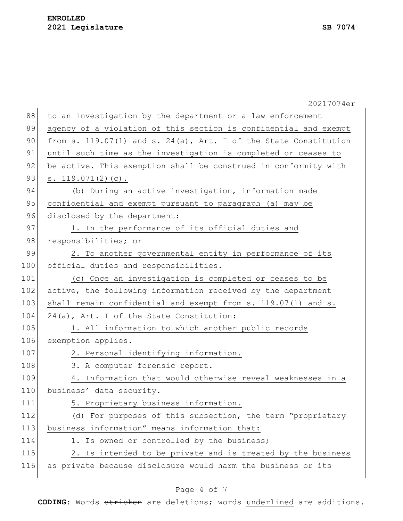|     | 20217074er                                                       |
|-----|------------------------------------------------------------------|
| 88  | to an investigation by the department or a law enforcement       |
| 89  | agency of a violation of this section is confidential and exempt |
| 90  | from s. 119.07(1) and s. 24(a), Art. I of the State Constitution |
| 91  | until such time as the investigation is completed or ceases to   |
| 92  | be active. This exemption shall be construed in conformity with  |
| 93  | s. $119.071(2)(c)$ .                                             |
| 94  | (b) During an active investigation, information made             |
| 95  | confidential and exempt pursuant to paragraph (a) may be         |
| 96  | disclosed by the department:                                     |
| 97  | 1. In the performance of its official duties and                 |
| 98  | responsibilities; or                                             |
| 99  | 2. To another governmental entity in performance of its          |
| 100 | official duties and responsibilities.                            |
| 101 | (c) Once an investigation is completed or ceases to be           |
| 102 | active, the following information received by the department     |
| 103 | shall remain confidential and exempt from s. 119.07(1) and s.    |
| 104 | 24(a), Art. I of the State Constitution:                         |
| 105 | 1. All information to which another public records               |
| 106 | exemption applies.                                               |
| 107 | 2. Personal identifying information.                             |
| 108 | 3. A computer forensic report.                                   |
| 109 | 4. Information that would otherwise reveal weaknesses in a       |
| 110 | business' data security.                                         |
| 111 | 5. Proprietary business information.                             |
| 112 | (d) For purposes of this subsection, the term "proprietary       |
| 113 | business information" means information that:                    |
| 114 | 1. Is owned or controlled by the business;                       |
| 115 | 2. Is intended to be private and is treated by the business      |
| 116 | as private because disclosure would harm the business or its     |
|     |                                                                  |

# Page 4 of 7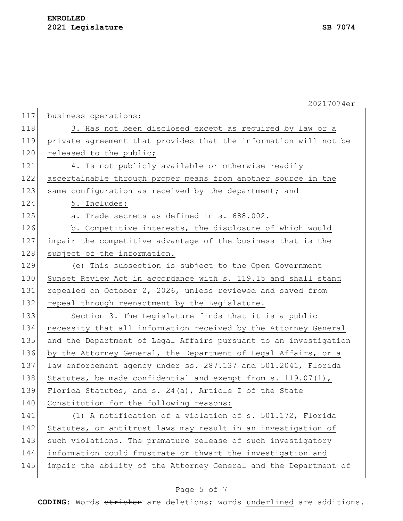| 117 | business operations;                                             |
|-----|------------------------------------------------------------------|
| 118 | 3. Has not been disclosed except as required by law or a         |
| 119 | private agreement that provides that the information will not be |
| 120 | released to the public;                                          |
| 121 | 4. Is not publicly available or otherwise readily                |
| 122 | ascertainable through proper means from another source in the    |
| 123 | same configuration as received by the department; and            |
| 124 | 5. Includes:                                                     |
| 125 | a. Trade secrets as defined in s. 688.002.                       |
| 126 | b. Competitive interests, the disclosure of which would          |
| 127 | impair the competitive advantage of the business that is the     |
| 128 | subject of the information.                                      |
| 129 | (e) This subsection is subject to the Open Government            |
| 130 | Sunset Review Act in accordance with s. 119.15 and shall stand   |
| 131 | repealed on October 2, 2026, unless reviewed and saved from      |
|     |                                                                  |
| 132 | repeal through reenactment by the Legislature.                   |
| 133 | Section 3. The Legislature finds that it is a public             |
| 134 | necessity that all information received by the Attorney General  |
| 135 | and the Department of Legal Affairs pursuant to an investigation |
| 136 | by the Attorney General, the Department of Legal Affairs, or a   |
| 137 | law enforcement agency under ss. 287.137 and 501.2041, Florida   |
| 138 | Statutes, be made confidential and exempt from s. $119.07(1)$ ,  |
| 139 | Florida Statutes, and s. 24(a), Article I of the State           |
| 140 | Constitution for the following reasons:                          |
| 141 | (1) A notification of a violation of s. 501.172, Florida         |
| 142 | Statutes, or antitrust laws may result in an investigation of    |
| 143 | such violations. The premature release of such investigatory     |
| 144 | information could frustrate or thwart the investigation and      |
| 145 | impair the ability of the Attorney General and the Department of |

# Page 5 of 7

**CODING**: Words stricken are deletions; words underlined are additions.

20217074er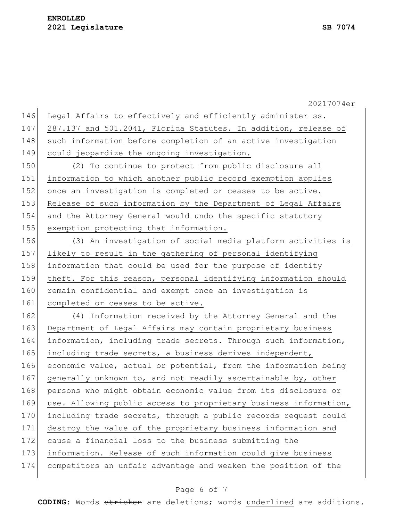20217074er 146 Legal Affairs to effectively and efficiently administer ss. 147 287.137 and 501.2041, Florida Statutes. In addition, release of 148 such information before completion of an active investigation 149 could jeopardize the ongoing investigation. 150 (2) To continue to protect from public disclosure all 151 information to which another public record exemption applies 152 once an investigation is completed or ceases to be active. 153 Release of such information by the Department of Legal Affairs 154 and the Attorney General would undo the specific statutory 155 exemption protecting that information. 156 (3) An investigation of social media platform activities is 157 likely to result in the gathering of personal identifying 158 information that could be used for the purpose of identity 159 theft. For this reason, personal identifying information should 160 remain confidential and exempt once an investigation is 161 completed or ceases to be active. 162 (4) Information received by the Attorney General and the 163 Department of Legal Affairs may contain proprietary business 164 information, including trade secrets. Through such information, 165 including trade secrets, a business derives independent, 166 economic value, actual or potential, from the information being 167 generally unknown to, and not readily ascertainable by, other 168 persons who might obtain economic value from its disclosure or 169 use. Allowing public access to proprietary business information, 170 including trade secrets, through a public records request could 171 destroy the value of the proprietary business information and 172 cause a financial loss to the business submitting the 173 information. Release of such information could give business 174 competitors an unfair advantage and weaken the position of the

#### Page 6 of 7